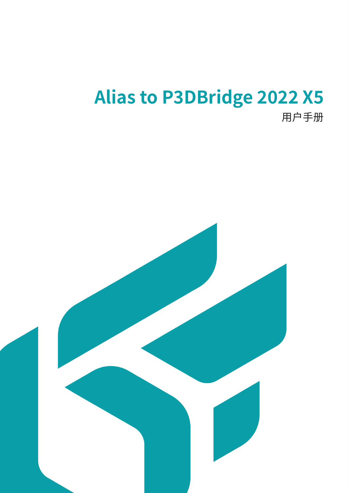# **Alias to P3DBridge 2022 X5**

用户手册

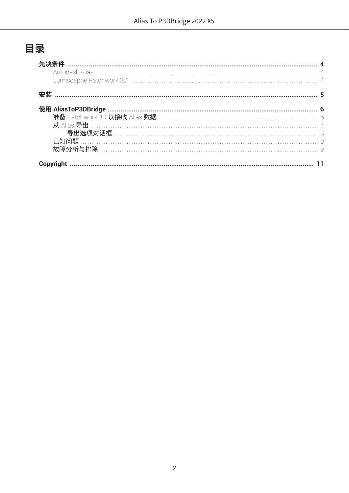# 目录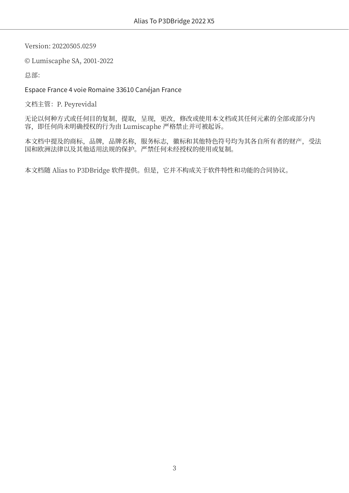Version: 20220505.0259

© Lumiscaphe SA, 2001-2022

总部:

#### Espace France 4 voie Romaine 33610 Canéjan France

文档主管: P. Peyrevidal

无论以何种方式或任何目的复制,提取,呈现,更改,修改或使用本文档或其任何元素的全部或部分内 容,即任何尚未明确授权的行为由 Lumiscaphe 严格禁止并可被起诉。

本文档中提及的商标,品牌,品牌名称,服务标志,徽标和其他特色符号均为其各自所有者的财产,受法 国和欧洲法律以及其他适用法规的保护。严禁任何未经授权的使用或复制。

本文档随 Alias to P3DBridge 软件提供。但是,它并不构成关于软件特性和功能的合同协议。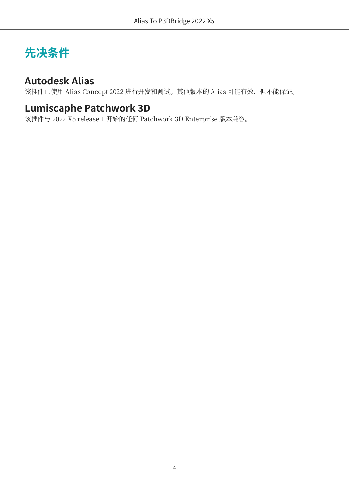# <span id="page-3-0"></span>**先决条件**

#### **Autodesk Alias**

该插件已使用 Alias Concept 2022 进行开发和测试。其他版本的 Alias 可能有效, 但不能保证。

#### **Lumiscaphe Patchwork 3D**

该插件与 2022 X5 release 1 开始的任何 Patchwork 3D Enterprise 版本兼容。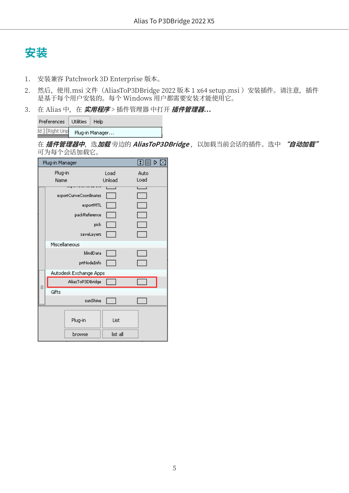<span id="page-4-0"></span>

- 1. 安装兼容 Patchwork 3D Enterprise 版本。
- 2. 然后, 使用.msi 文件 (AliasToP3DBridge 2022 版本 1 x64 setup.msi) 安装插件。请注意, 插件 是基于每个用户安装的。每个 Windows 用户都需要安装才能使用它。
- 3. 在 Alias 中, 在 实用程序 > 插件管理器 中打开 插件管理器...

| Preferences     | Utilities | Help            |
|-----------------|-----------|-----------------|
| dd ] [Right Unp |           | Plug-in Manager |

在 插件管理器中,选加载旁边的 AliasToP3DBridge, 以加载当前会话的插件。选中 "自动加载" 可为每个会话加载它。

|         | Plug-in Manager |                        |          | 田目<br>▷ ⊠ |  |
|---------|-----------------|------------------------|----------|-----------|--|
| Plug-in |                 |                        | Load     | Auto      |  |
|         | Name            |                        | Unload   | Load      |  |
|         |                 | exportCurveCoordinates |          |           |  |
|         |                 | exportMTL              |          |           |  |
|         |                 | packReference          |          |           |  |
|         |                 | pick                   |          |           |  |
|         |                 | saveLayers             |          |           |  |
|         | Miscellaneous   |                        |          |           |  |
|         |                 | blindData              |          |           |  |
|         |                 | prtNodeInfo            |          |           |  |
|         |                 | Autodesk Exchange Apps |          |           |  |
|         |                 | AliasToP3DBridge       |          |           |  |
|         | Gifts           |                        |          |           |  |
|         |                 | sunShine               |          |           |  |
|         |                 |                        |          |           |  |
|         |                 | Plug-in                | List     |           |  |
|         |                 | browse                 | list all |           |  |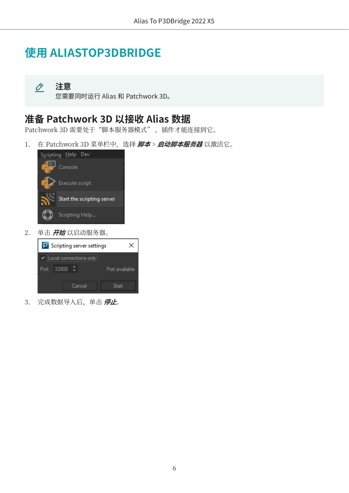# <span id="page-5-0"></span>**使用 ALIASTOP3DBRIDGE**

**注意** O

您需要同时运行 Alias 和 Patchwork 3D。

#### **准备 Patchwork 3D 以接收 Alias 数据**

Patchwork 3D 需要处于"脚本服务器模式",插件才能连接到它。

1. 在 Patchwork 3D 菜单栏中,选择 **脚本 > 启动脚本服务器** 以激活它。



2. 单击 **开始** 以启动服务器。



3. 完成数据导入后,单击 **停止**。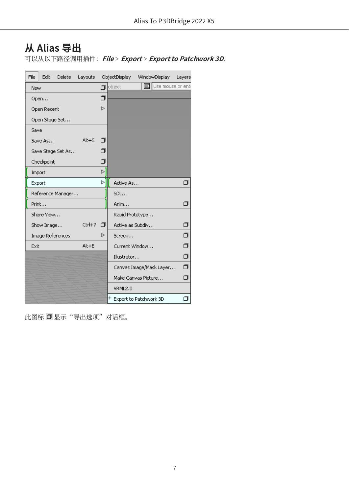## <span id="page-6-0"></span>**从 Alias 导出**

可以从以下路径调用插件:**File** > **Export** > **Export to Patchwork 3D**.

| File       | Edit             | Delete            | Layouts   |    |                  | ObjectDisplay WindowDisplay | Layers   |
|------------|------------------|-------------------|-----------|----|------------------|-----------------------------|----------|
| <b>New</b> |                  |                   |           |    | $\Box$ object    | <b>国</b> Use mouse or enti  |          |
|            | Open             |                   |           | σ  |                  |                             |          |
|            | Open Recent      |                   |           | 넘. |                  |                             |          |
|            | Open Stage Set   |                   |           |    |                  |                             |          |
| Save       |                  |                   |           |    |                  |                             |          |
|            | Save As          |                   | $Alt + 5$ | п  |                  |                             |          |
|            |                  | Save Stage Set As |           | ⊓  |                  |                             |          |
|            | Checkpoint       |                   |           | σ  |                  |                             |          |
| Import     |                  |                   |           | þ. |                  |                             |          |
| Export     |                  |                   |           | Ъ  | Active As        |                             | ⊓        |
|            |                  | Reference Manager |           |    | SDL              |                             |          |
| Print      |                  |                   |           |    | Anim             |                             | п        |
|            | Share View       |                   |           |    | Rapid Prototype  |                             |          |
|            | Show Image       |                   | Ctrl+7    | п  | Active as Subdiv |                             | σ        |
|            | Image References |                   |           | ⊳  | Screen           |                             | σ        |
| Exit       |                  |                   | $Alt + E$ |    | Current Window   |                             | σ        |
|            |                  |                   |           |    | Illustrator      |                             | $\sigma$ |
|            |                  |                   |           |    |                  | Canvas Image/Mask Layer     | σ        |
|            |                  |                   |           |    |                  | Make Canvas Picture         | σ        |
|            |                  |                   |           |    | VRML2.0          |                             |          |
|            |                  |                   |           |    |                  | + Export to Patchwork 3D    | ⊓        |

此图标 □显示"导出选项"对话框。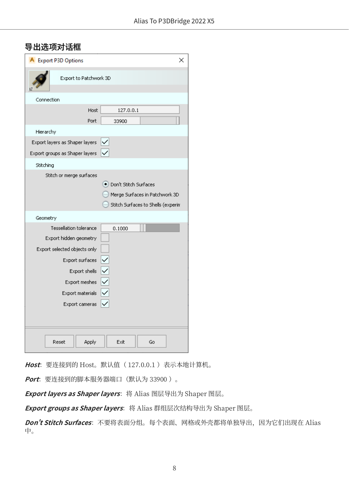#### <span id="page-7-0"></span>**导出选项对话框**

| <b>Export P3D Options</b>                                                                                                                                                                                                      | ×                                                                                               |
|--------------------------------------------------------------------------------------------------------------------------------------------------------------------------------------------------------------------------------|-------------------------------------------------------------------------------------------------|
| Export to Patchwork 3D                                                                                                                                                                                                         |                                                                                                 |
| Connection                                                                                                                                                                                                                     |                                                                                                 |
| <b>Host</b><br>Port                                                                                                                                                                                                            | 127.0.0.1<br>33900                                                                              |
| Hierarchy                                                                                                                                                                                                                      |                                                                                                 |
| Export layers as Shaper layers<br>Export groups as Shaper layers                                                                                                                                                               |                                                                                                 |
| Stitching                                                                                                                                                                                                                      |                                                                                                 |
| Stitch or merge surfaces                                                                                                                                                                                                       | . Don't Stitch Surfaces<br>Merge Surfaces in Patchwork 3D<br>Stitch Surfaces to Shells (experim |
| Geometry                                                                                                                                                                                                                       |                                                                                                 |
| <b>Tessellation tolerance</b><br>Export hidden geometry<br>Export selected objects only<br>$ \langle   \langle   \langle   \langle$<br>Export surfaces<br>Export shells<br>Export meshes<br>Export materials<br>Export cameras | 0.1000                                                                                          |
| Apply<br>Reset                                                                                                                                                                                                                 | Exit<br>Go                                                                                      |

Host: 要连接到的 Host。默认值 ( 127.0.0.1 )表示本地计算机。

**Port**:要连接到的脚本服务器端口(默认为 33900 )。

Export layers as Shaper layers: 将 Alias 图层导出为 Shaper 图层。

Export groups as Shaper layers: 将 Alias 群组层次结构导出为 Shaper 图层。

**Don't Stitch Surfaces**: 不要将表面分组。每个表面、网格或外壳都将单独导出, 因为它们出现在 Alias 中。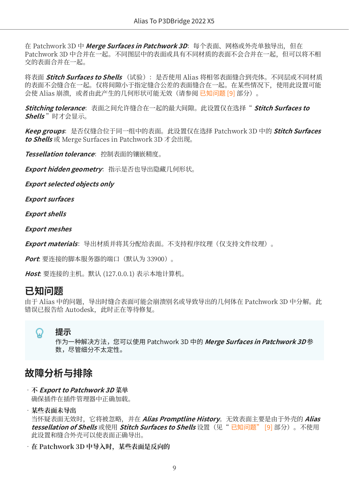<span id="page-8-0"></span>在 Patchwork 3D 中 **Merge Surfaces in Patchwork 3D**:每个表面、网格或外壳单独导出,但在 Patchwork 3D 中合并在一起。不同图层中的表面或具有不同材质的表面不会合并在一起,但可以将不相 交的表面合并在一起。

将表面 **Stitch Surfaces to Shells** (试验):是否使用 Alias 将相邻表面缝合到壳体。不同层或不同材质 的表面不会缝合在一起。仅将间隙小于指定缝合公差的表面缝合在一起。在某些情况下,使用此设置可能 会使 Alias 崩溃, 或者由此产生的几何形状可能无效(请参阅 已知问题 [9] 部分)。

**Stitching tolerance**:表面之间允许缝合在一起的最大间隙。此设置仅在选择" **Stitch Surfaces to Shells** "时才会显示。

**Keep groups**:是否仅缝合位于同一组中的表面。此设置仅在选择 Patchwork 3D 中的 **Stitch Surfaces to Shells** 或 Merge Surfaces in Patchwork 3D 才会出现。

Tessellation tolerance: 控制表面的镶嵌精度。

**Export hidden geometry**: 指示是否也导出隐藏几何形状。

**Export selected objects only**

**Export surfaces**

**Export shells**

**Export meshes**

**Export materials**:导出材质并将其分配给表面。不支持程序纹理(仅支持文件纹理)。

**Port**: 要连接的脚本服务器的端口(默认为 33900)。

**Host**: 要连接的主机。默认 (127.0.0.1) 表示本地计算机。

#### **已知问题**

由于 Alias 中的问题,导出时缝合表面可能会崩溃别名或导致导出的几何体在 Patchwork 3D 中分解。此 错误已报告给 Autodesk,此时正在等待修复。

#### Ω **提示**

作为一种解决方法,您可以使用 Patchwork 3D 中的 **Merge Surfaces in Patchwork 3D** 参 数,尽管细分不太定性。

#### **故障分析与排除**

- •**不 Export to Patchwork 3D 菜单** 确保插件在插件管理器中正确加载。
- •**某些表面未导出**

当怀疑表面无效时,它将被忽略,并在 **Alias Promptline History**。无效表面主要是由于外壳的 **Alias tessellation of Shells** 或使用 **Stitch Surfaces to Shells** 设置(见" 已知问题" [9] 部分)。不使用 此设置和缝合外壳可以使表面正确导出。

•**在 Patchwork 3D 中导入时,某些表面是反向的**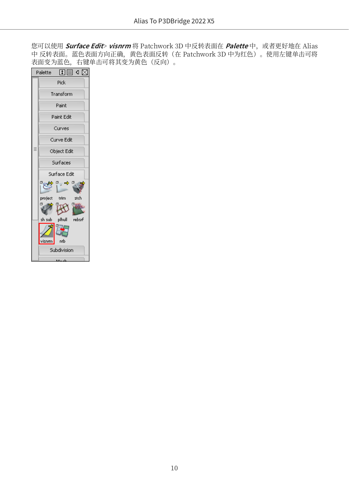您可以使用 **Surface Edit> visnrm** 将 Patchwork 3D 中反转表面在 Palette 中, 或者更好地在 Alias 中 反转表面。蓝色表面方向正确,黄色表面反转(在 Patchwork 3D 中为红色)。使用左键单击可将 表面变为蓝色,右键单击可将其变为黄色(反向)。

| Ⅱ目∢∑<br>Palette                               |
|-----------------------------------------------|
| Pick                                          |
| Transform                                     |
| Paint                                         |
| Paint Edit                                    |
| Curves                                        |
| Curve Edit                                    |
| Object Edit                                   |
| Surfaces                                      |
| Surface Edit                                  |
| $\sigma_{\rm eff} \rightarrow \sigma_{\rm s}$ |
| project trim<br>stch                          |
| σg                                            |
| sh sub plhull rebsrf                          |
|                                               |
| ntb<br>visnm                                  |
| Subdivision                                   |
|                                               |